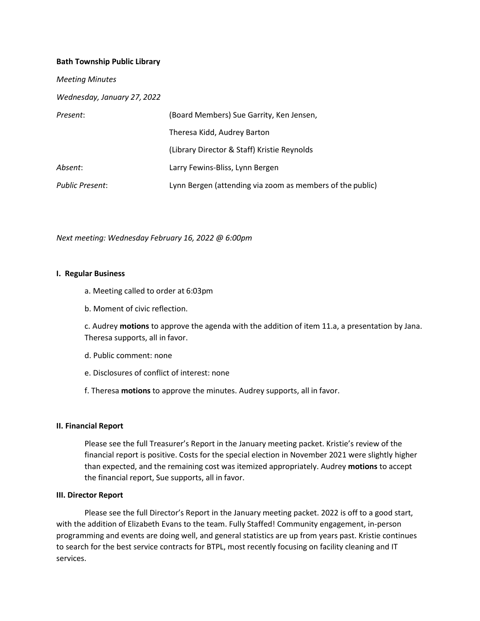### **Bath Township Public Library**

| <b>Meeting Minutes</b>      |                                                           |
|-----------------------------|-----------------------------------------------------------|
| Wednesday, January 27, 2022 |                                                           |
| Present:                    | (Board Members) Sue Garrity, Ken Jensen,                  |
|                             | Theresa Kidd, Audrey Barton                               |
|                             | (Library Director & Staff) Kristie Reynolds               |
| Absent:                     | Larry Fewins-Bliss, Lynn Bergen                           |
| <b>Public Present:</b>      | Lynn Bergen (attending via zoom as members of the public) |

*Next meeting: Wednesday February 16, 2022 @ 6:00pm*

#### **I. Regular Business**

- a. Meeting called to order at 6:03pm
- b. Moment of civic reflection.

c. Audrey **motions** to approve the agenda with the addition of item 11.a, a presentation by Jana. Theresa supports, all in favor.

- d. Public comment: none
- e. Disclosures of conflict of interest: none
- f. Theresa **motions** to approve the minutes. Audrey supports, all in favor.

#### **II. Financial Report**

Please see the full Treasurer's Report in the January meeting packet. Kristie's review of the financial report is positive. Costs for the special election in November 2021 were slightly higher than expected, and the remaining cost was itemized appropriately. Audrey **motions** to accept the financial report, Sue supports, all in favor.

#### **III. Director Report**

Please see the full Director's Report in the January meeting packet. 2022 is off to a good start, with the addition of Elizabeth Evans to the team. Fully Staffed! Community engagement, in-person programming and events are doing well, and general statistics are up from years past. Kristie continues to search for the best service contracts for BTPL, most recently focusing on facility cleaning and IT services.